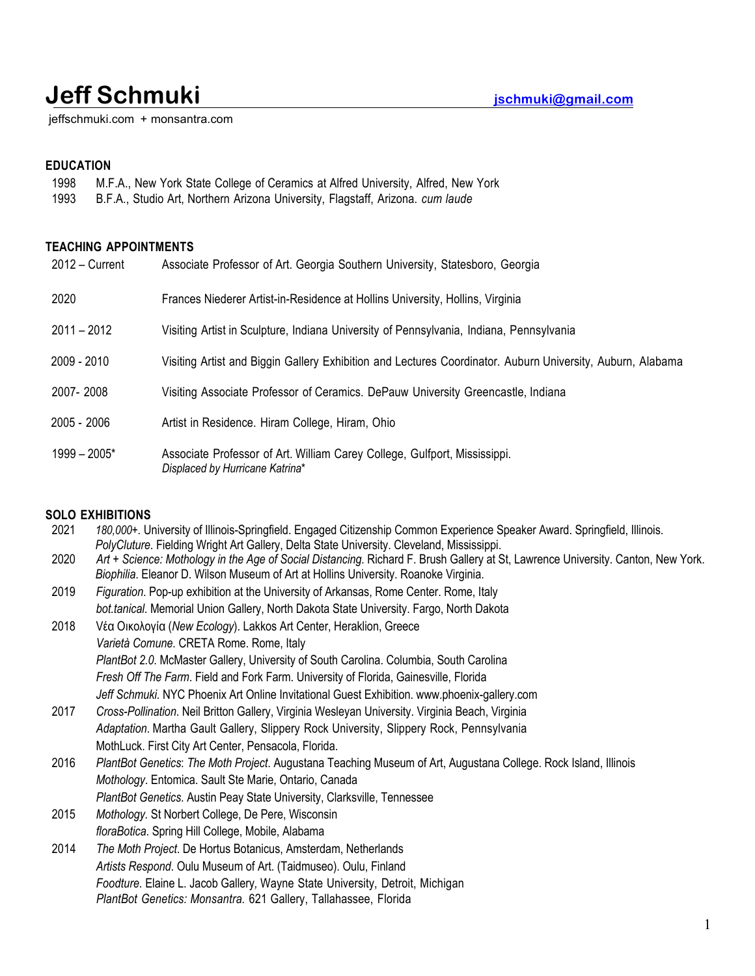# **Jeff Schmuki jschmuki@gmail.com**

jeffschmuki.com + monsantra.com

# **EDUCATION**

- 1998 M.F.A., New York State College of Ceramics at Alfred University, Alfred, New York
- 1993 B.F.A., Studio Art, Northern Arizona University, Flagstaff, Arizona. *cum laude*

## **TEACHING APPOINTMENTS**

| $2012 -$ Current | Associate Professor of Art. Georgia Southern University, Statesboro, Georgia                                 |
|------------------|--------------------------------------------------------------------------------------------------------------|
| 2020             | Frances Niederer Artist-in-Residence at Hollins University, Hollins, Virginia                                |
| $2011 - 2012$    | Visiting Artist in Sculpture, Indiana University of Pennsylvania, Indiana, Pennsylvania                      |
| 2009 - 2010      | Visiting Artist and Biggin Gallery Exhibition and Lectures Coordinator. Auburn University, Auburn, Alabama   |
| 2007-2008        | Visiting Associate Professor of Ceramics. DePauw University Greencastle, Indiana                             |
| 2005 - 2006      | Artist in Residence. Hiram College, Hiram, Ohio                                                              |
| $1999 - 2005*$   | Associate Professor of Art. William Carey College, Gulfport, Mississippi.<br>Displaced by Hurricane Katrina* |

# **SOLO EXHIBITIONS**

| 2021 | 180,000+. University of Illinois-Springfield. Engaged Citizenship Common Experience Speaker Award. Springfield, Illinois.        |
|------|----------------------------------------------------------------------------------------------------------------------------------|
|      | PolyCluture. Fielding Wright Art Gallery, Delta State University. Cleveland, Mississippi.                                        |
| 2020 | Art + Science: Mothology in the Age of Social Distancing. Richard F. Brush Gallery at St, Lawrence University. Canton, New York. |
|      | Biophilia. Eleanor D. Wilson Museum of Art at Hollins University. Roanoke Virginia.                                              |
| 2019 | Figuration. Pop-up exhibition at the University of Arkansas, Rome Center. Rome, Italy                                            |
|      | bot.tanical. Memorial Union Gallery, North Dakota State University. Fargo, North Dakota                                          |
| 2018 | Vέα Οικολογία (New Ecology). Lakkos Art Center, Heraklion, Greece                                                                |
|      | Varietà Comune. CRETA Rome. Rome, Italy                                                                                          |
|      | PlantBot 2.0. McMaster Gallery, University of South Carolina. Columbia, South Carolina                                           |
|      | Fresh Off The Farm. Field and Fork Farm. University of Florida, Gainesville, Florida                                             |
|      | Jeff Schmuki. NYC Phoenix Art Online Invitational Guest Exhibition. www.phoenix-gallery.com                                      |
| 2017 | Cross-Pollination. Neil Britton Gallery, Virginia Wesleyan University. Virginia Beach, Virginia                                  |
|      | Adaptation. Martha Gault Gallery, Slippery Rock University, Slippery Rock, Pennsylvania                                          |
|      | MothLuck. First City Art Center, Pensacola, Florida.                                                                             |
| 2016 | PlantBot Genetics: The Moth Project. Augustana Teaching Museum of Art, Augustana College. Rock Island, Illinois                  |
|      | Mothology. Entomica. Sault Ste Marie, Ontario, Canada                                                                            |
|      | PlantBot Genetics. Austin Peay State University, Clarksville, Tennessee                                                          |
| 2015 | Mothology. St Norbert College, De Pere, Wisconsin                                                                                |
|      | floraBotica. Spring Hill College, Mobile, Alabama                                                                                |
| 2014 | The Moth Project. De Hortus Botanicus, Amsterdam, Netherlands                                                                    |
|      | Artists Respond. Oulu Museum of Art. (Taidmuseo). Oulu, Finland                                                                  |
|      | Foodture. Elaine L. Jacob Gallery, Wayne State University, Detroit, Michigan                                                     |
|      | PlantBot Genetics: Monsantra. 621 Gallery, Tallahassee, Florida                                                                  |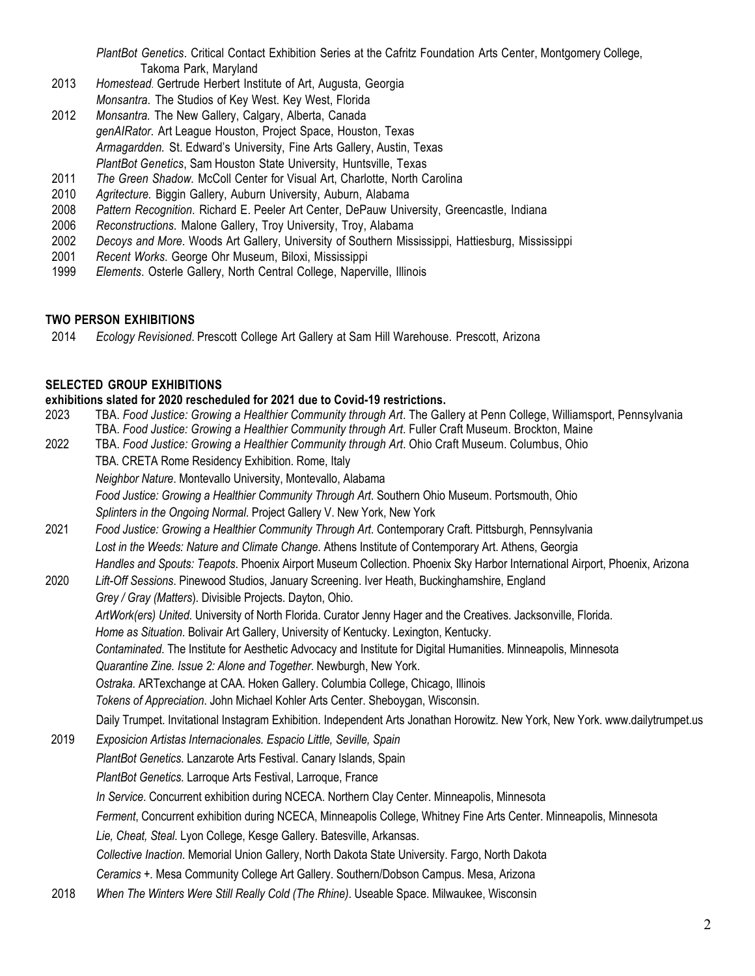*PlantBot Genetics*. Critical Contact Exhibition Series at the Cafritz Foundation Arts Center, Montgomery College, Takoma Park, Maryland

- 2013 *Homestead*. Gertrude Herbert Institute of Art, Augusta, Georgia *Monsantra*. The Studios of Key West. Key West, Florida
- 2012 *Monsantra.* The New Gallery, Calgary, Alberta, Canada *genAIRator*. Art League Houston, Project Space, Houston, Texas *Armagardden.* St. Edward's University, Fine Arts Gallery, Austin, Texas *PlantBot Genetics*, Sam Houston State University, Huntsville, Texas
- 2011 *The Green Shadow.* McColl Center for Visual Art, Charlotte, North Carolina
- 2010 *Agritecture.* Biggin Gallery, Auburn University, Auburn, Alabama
- 2008 *Pattern Recognition*. Richard E. Peeler Art Center, DePauw University, Greencastle, Indiana
- 2006 *Reconstructions*. Malone Gallery, Troy University, Troy, Alabama
- 2002 *Decoys and More*. Woods Art Gallery, University of Southern Mississippi, Hattiesburg, Mississippi
- 2001 *Recent Works*. George Ohr Museum, Biloxi, Mississippi
- 1999 *Elements*. Osterle Gallery, North Central College, Naperville, Illinois

### **TWO PERSON EXHIBITIONS**

2014 *Ecology Revisioned*. Prescott College Art Gallery at Sam Hill Warehouse. Prescott, Arizona

#### **SELECTED GROUP EXHIBITIONS**

#### **exhibitions slated for 2020 rescheduled for 2021 due to Covid-19 restrictions.**

- 2023 TBA. *Food Justice: Growing a Healthier Community through Art*. The Gallery at Penn College, Williamsport, Pennsylvania TBA. *Food Justice: Growing a Healthier Community through Art*. Fuller Craft Museum. Brockton, Maine
- 2022 TBA. *Food Justice: Growing a Healthier Community through Art*. Ohio Craft Museum. Columbus, Ohio TBA. CRETA Rome Residency Exhibition. Rome, Italy

*Neighbor Nature*. Montevallo University, Montevallo, Alabama

- *Food Justice: Growing a Healthier Community Through Art*. Southern Ohio Museum. Portsmouth, Ohio *Splinters in the Ongoing Normal*. Project Gallery V. New York, New York
- 2021 *Food Justice: Growing a Healthier Community Through Art*. Contemporary Craft. Pittsburgh, Pennsylvania *Lost in the Weeds: Nature and Climate Change*. Athens Institute of Contemporary Art. Athens, Georgia *Handles and Spouts: Teapots*. Phoenix Airport Museum Collection. Phoenix Sky Harbor International Airport, Phoenix, Arizona
- 2020 *Lift-Off Sessions*. Pinewood Studios, January Screening. Iver Heath, Buckinghamshire, England *Grey / Gray (Matters*). Divisible Projects. Dayton, Ohio. *ArtWork(ers) United*. University of North Florida. Curator Jenny Hager and the Creatives. Jacksonville, Florida. *Home as Situation*. Bolivair Art Gallery, University of Kentucky. Lexington, Kentucky. *Contaminated*. The Institute for Aesthetic Advocacy and Institute for Digital Humanities. Minneapolis, Minnesota *Quarantine Zine. Issue 2: Alone and Together*. Newburgh, New York. *Ostraka.* ARTexchange at CAA. Hoken Gallery. Columbia College, Chicago, Illinois *Tokens of Appreciation*. John Michael Kohler Arts Center. Sheboygan, Wisconsin. Daily Trumpet. Invitational Instagram Exhibition. Independent Arts Jonathan Horowitz. New York, New York. www.dailytrumpet.us
- 2019 *Exposicion Artistas Internacionales. Espacio Little, Seville, Spain PlantBot Genetics*. Lanzarote Arts Festival. Canary Islands, Spain *PlantBot Genetics*. Larroque Arts Festival, Larroque, France *In Service*. Concurrent exhibition during NCECA. Northern Clay Center. Minneapolis, Minnesota *Ferment*, Concurrent exhibition during NCECA, Minneapolis College, Whitney Fine Arts Center. Minneapolis, Minnesota *Lie, Cheat, Steal*. Lyon College, Kesge Gallery. Batesville, Arkansas. *Collective Inaction*. Memorial Union Gallery, North Dakota State University. Fargo, North Dakota *Ceramics +.* Mesa Community College Art Gallery. Southern/Dobson Campus. Mesa, Arizona
- 2018 *When The Winters Were Still Really Cold (The Rhine)*. Useable Space. Milwaukee, Wisconsin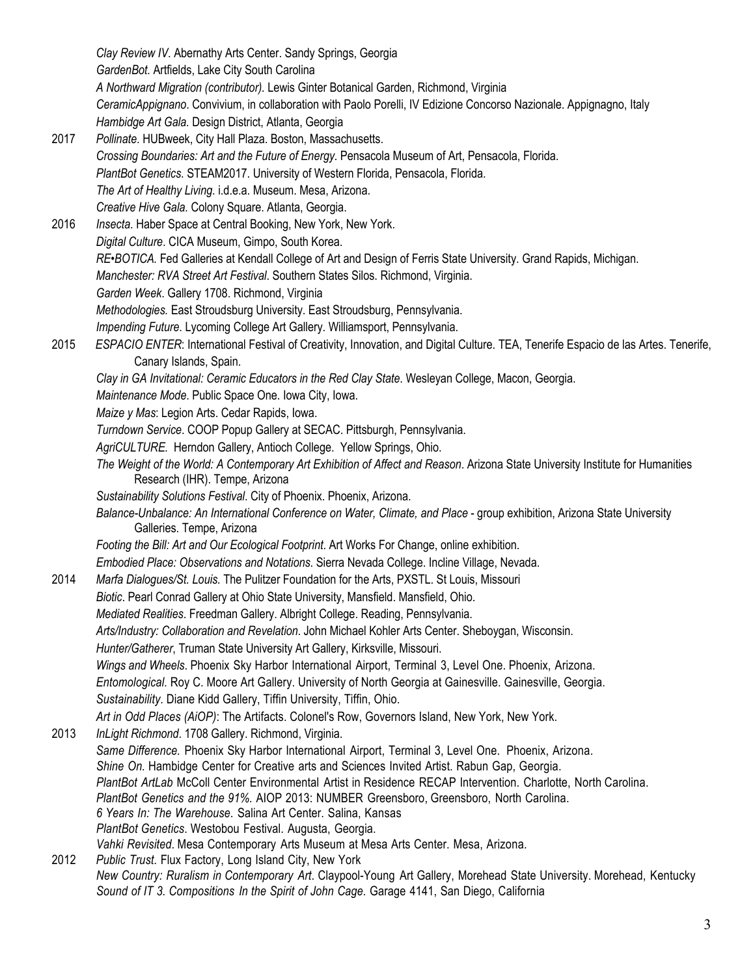*Clay Review IV*. Abernathy Arts Center. Sandy Springs, Georgia *GardenBot.* Artfields, Lake City South Carolina  *A Northward Migration (contributor).* Lewis Ginter Botanical Garden, Richmond, Virginia *CeramicAppignano*. Convivium, in collaboration with Paolo Porelli, IV Edizione Concorso Nazionale. Appignagno, Italy  *Hambidge Art Gala.* Design District, Atlanta, Georgia 2017 *Pollinate*. HUBweek, City Hall Plaza. Boston, Massachusetts. *Crossing Boundaries: Art and the Future of Energy.* Pensacola Museum of Art, Pensacola, Florida. *PlantBot Genetics*. STEAM2017. University of Western Florida, Pensacola, Florida. *The Art of Healthy Living*. i.d.e.a. Museum. Mesa, Arizona. *Creative Hive Gala.* Colony Square. Atlanta, Georgia. 2016 *Insecta*. Haber Space at Central Booking, New York, New York. *Digital Culture*. CICA Museum, Gimpo, South Korea. *RE•BOTICA.* Fed Galleries at Kendall College of Art and Design of Ferris State University. Grand Rapids, Michigan. *Manchester: RVA Street Art Festival*. Southern States Silos. Richmond, Virginia. *Garden Week*. Gallery 1708. Richmond, Virginia *Methodologies.* East Stroudsburg University. East Stroudsburg, Pennsylvania. *Impending Future*. Lycoming College Art Gallery. Williamsport, Pennsylvania. 2015 *ESPACIO ENTER*: International Festival of Creativity, Innovation, and Digital Culture. TEA, Tenerife Espacio de las Artes. Tenerife, Canary Islands, Spain. *Clay in GA Invitational: Ceramic Educators in the Red Clay State*. Wesleyan College, Macon, Georgia. *Maintenance Mode*. Public Space One. Iowa City, Iowa. *Maize y Mas*: Legion Arts. Cedar Rapids, Iowa. *Turndown Service*. COOP Popup Gallery at SECAC. Pittsburgh, Pennsylvania. *AgriCULTURE.* Herndon Gallery, Antioch College. Yellow Springs, Ohio. *The Weight of the World: A Contemporary Art Exhibition of Affect and Reason*. Arizona State University Institute for Humanities Research (IHR). Tempe, Arizona *Sustainability Solutions Festival*. City of Phoenix. Phoenix, Arizona. *Balance-Unbalance: An International Conference on Water, Climate, and Place* - group exhibition, Arizona State University Galleries. Tempe, Arizona *Footing the Bill: Art and Our Ecological Footprint*. Art Works For Change, online exhibition. *Embodied Place: Observations and Notations*. Sierra Nevada College. Incline Village, Nevada. 2014 *Marfa Dialogues/St. Louis.* The Pulitzer Foundation for the Arts, PXSTL. St Louis, Missouri *Biotic*. Pearl Conrad Gallery at Ohio State University, Mansfield. Mansfield, Ohio. *Mediated Realities*. Freedman Gallery. Albright College. Reading, Pennsylvania. *Arts/Industry: Collaboration and Revelation*. John Michael Kohler Arts Center. Sheboygan, Wisconsin. *Hunter/Gatherer*, Truman State University Art Gallery, Kirksville, Missouri. *Wings and Wheels*. Phoenix Sky Harbor International Airport, Terminal 3, Level One. Phoenix, Arizona. *Entomological.* Roy C. Moore Art Gallery. University of North Georgia at Gainesville. Gainesville, Georgia. *Sustainability*. Diane Kidd Gallery, Tiffin University, Tiffin, Ohio. *Art in Odd Places (AiOP)*: The Artifacts. Colonel's Row, Governors Island, New York, New York. 2013 *InLight Richmond*. 1708 Gallery. Richmond, Virginia. *Same Difference.* Phoenix Sky Harbor International Airport, Terminal 3, Level One. Phoenix, Arizona. *Shine On.* Hambidge Center for Creative arts and Sciences Invited Artist. Rabun Gap, Georgia. *PlantBot ArtLab* McColl Center Environmental Artist in Residence RECAP Intervention. Charlotte, North Carolina. *PlantBot Genetics and the 91%.* AIOP 2013: NUMBER Greensboro, Greensboro, North Carolina. *6 Years In: The Warehouse*. Salina Art Center. Salina, Kansas *PlantBot Genetics*. Westobou Festival. Augusta, Georgia. *Vahki Revisited*. Mesa Contemporary Arts Museum at Mesa Arts Center. Mesa, Arizona. 2012 *Public Trust*. Flux Factory, Long Island City, New York *New Country: Ruralism in Contemporary Art*. Claypool-Young Art Gallery, Morehead State University. Morehead, Kentucky *Sound of IT 3. Compositions In the Spirit of John Cage.* Garage 4141, San Diego, California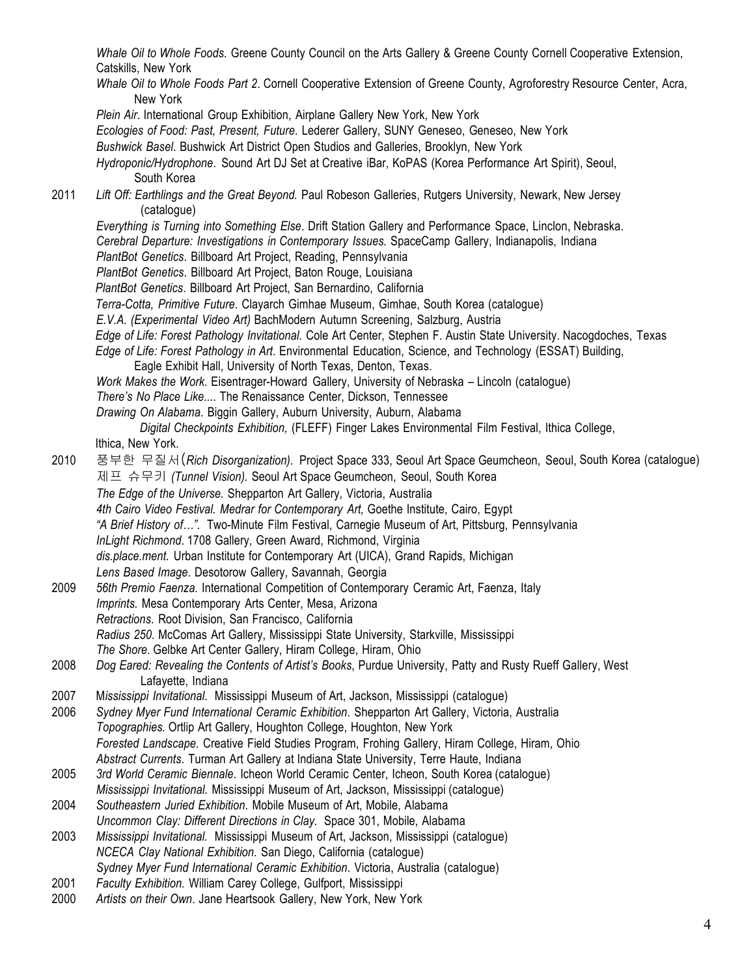*Whale Oil to Whole Foods.* Greene County Council on the Arts Gallery & Greene County Cornell Cooperative Extension, Catskills, New York *Whale Oil to Whole Foods Part 2*. Cornell Cooperative Extension of Greene County, Agroforestry Resource Center, Acra, New York *Plein Air*. International Group Exhibition, Airplane Gallery New York, New York *Ecologies of Food: Past, Present, Future*. Lederer Gallery, SUNY Geneseo, Geneseo, New York *Bushwick Basel*. Bushwick Art District Open Studios and Galleries, Brooklyn, New York *Hydroponic/Hydrophone*. Sound Art DJ Set at Creative iBar, KoPAS (Korea Performance Art Spirit), Seoul, South Korea 2011 *Lift Off: Earthlings and the Great Beyond.* Paul Robeson Galleries, Rutgers University, Newark, New Jersey (catalogue) *Everything is Turning into Something Else*. Drift Station Gallery and Performance Space, Linclon, Nebraska. *Cerebral Departure: Investigations in Contemporary Issues.* SpaceCamp Gallery, Indianapolis, Indiana *PlantBot Genetics*. Billboard Art Project, Reading, Pennsylvania *PlantBot Genetics*. Billboard Art Project, Baton Rouge, Louisiana *PlantBot Genetics*. Billboard Art Project, San Bernardino, California *Terra-Cotta, Primitive Future*. Clayarch Gimhae Museum, Gimhae, South Korea (catalogue) *E.V.A. (Experimental Video Art)* BachModern Autumn Screening, Salzburg, Austria *Edge of Life: Forest Pathology Invitational*. Cole Art Center, Stephen F. Austin State University. Nacogdoches, Texas *Edge of Life: Forest Pathology in Art*. Environmental Education, Science, and Technology (ESSAT) Building, Eagle Exhibit Hall, University of North Texas, Denton, Texas. *Work Makes the Work*. Eisentrager-Howard Gallery, University of Nebraska – Lincoln (catalogue) *There's No Place Like...*. The Renaissance Center, Dickson, Tennessee *Drawing On Alabama*. Biggin Gallery, Auburn University, Auburn, Alabama *Digital Checkpoints Exhibition,* (FLEFF) Finger Lakes Environmental Film Festival, Ithica College, Ithica, New York. 2010 풍부한 무질서(*Rich Disorganization)*. Project Space 333, Seoul Art Space Geumcheon, Seoul, South Korea (catalogue) 제프 슈무키 *(Tunnel Vision).* Seoul Art Space Geumcheon, Seoul, South Korea *The Edge of the Universe.* Shepparton Art Gallery, Victoria, Australia *4th Cairo Video Festival. Medrar for Contemporary Art,* Goethe Institute, Cairo, Egypt *"A Brief History of…".* Two-Minute Film Festival, Carnegie Museum of Art, Pittsburg, Pennsylvania *InLight Richmond*. 1708 Gallery, Green Award, Richmond, Virginia *dis.place.ment.* Urban Institute for Contemporary Art (UICA), Grand Rapids, Michigan *Lens Based Image*. Desotorow Gallery, Savannah, Georgia 2009 *56th Premio Faenza.* International Competition of Contemporary Ceramic Art, Faenza, Italy *Imprints.* Mesa Contemporary Arts Center, Mesa, Arizona *Retractions*. Root Division, San Francisco, California *Radius 250.* McComas Art Gallery, Mississippi State University, Starkville, Mississippi *The Shore*. Gelbke Art Center Gallery, Hiram College, Hiram, Ohio 2008 *Dog Eared: Revealing the Contents of Artist's Books*, Purdue University, Patty and Rusty Rueff Gallery, West Lafayette, Indiana 2007 M*ississippi Invitational*. Mississippi Museum of Art, Jackson, Mississippi (catalogue) 2006 *Sydney Myer Fund International Ceramic Exhibition*. Shepparton Art Gallery, Victoria, Australia *Topographies.* Ortlip Art Gallery, Houghton College, Houghton, New York *Forested Landscape*. Creative Field Studies Program, Frohing Gallery, Hiram College, Hiram, Ohio *Abstract Currents*. Turman Art Gallery at Indiana State University, Terre Haute, Indiana 2005 *3rd World Ceramic Biennale*. Icheon World Ceramic Center, Icheon, South Korea (catalogue) *Mississippi Invitational.* Mississippi Museum of Art, Jackson, Mississippi (catalogue) 2004 *Southeastern Juried Exhibition*. Mobile Museum of Art, Mobile, Alabama *Uncommon Clay: Different Directions in Clay.* Space 301, Mobile, Alabama 2003 *Mississippi Invitational.* Mississippi Museum of Art, Jackson, Mississippi (catalogue) *NCECA Clay National Exhibition.* San Diego, California (catalogue) *Sydney Myer Fund International Ceramic Exhibition*. Victoria, Australia (catalogue) 2001 *Faculty Exhibition.* William Carey College, Gulfport, Mississippi 2000 *Artists on their Own*. Jane Heartsook Gallery, New York, New York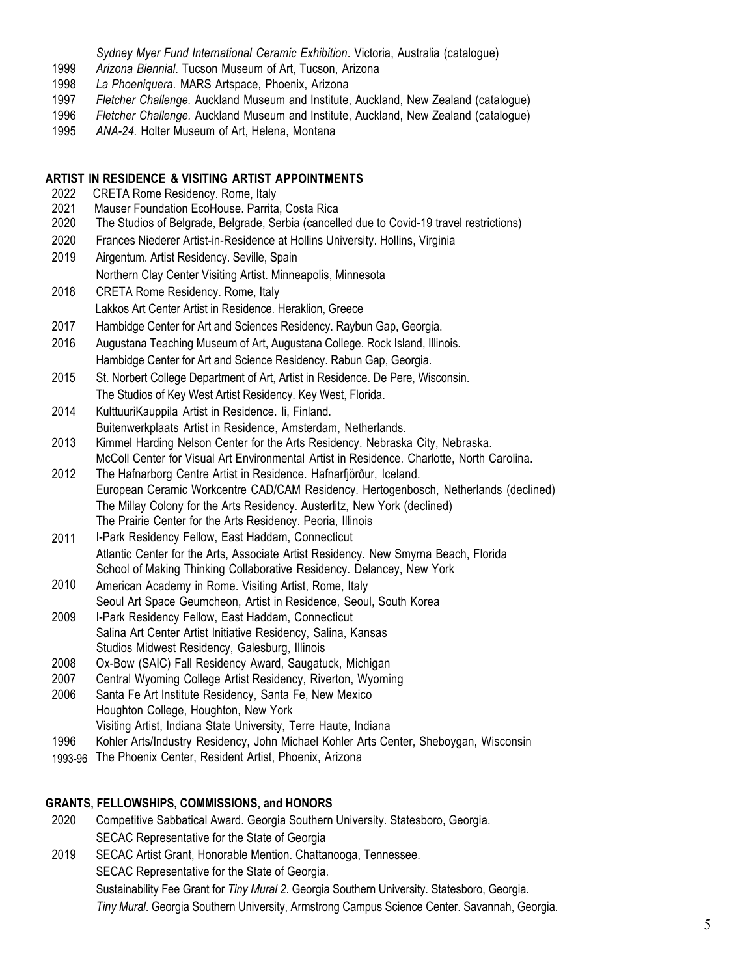*Sydney Myer Fund International Ceramic Exhibition*. Victoria, Australia (catalogue)

- 1999 *Arizona Biennial*. Tucson Museum of Art, Tucson, Arizona
- 1998 *La Phoeniquera*. MARS Artspace, Phoenix, Arizona
- 1997 *Fletcher Challenge.* Auckland Museum and Institute, Auckland, New Zealand (catalogue)
- 1996 *Fletcher Challenge.* Auckland Museum and Institute, Auckland, New Zealand (catalogue)
- 1995 *ANA-24.* Holter Museum of Art, Helena, Montana

#### **ARTIST IN RESIDENCE & VISITING ARTIST APPOINTMENTS**

- 2022 CRETA Rome Residency. Rome, Italy
- 2021 Mauser Foundation EcoHouse. Parrita, Costa Rica
- 2020 The Studios of Belgrade, Belgrade, Serbia (cancelled due to Covid-19 travel restrictions)
- 2020 Frances Niederer Artist-in-Residence at Hollins University. Hollins, Virginia
- 2019 Airgentum. Artist Residency. Seville, Spain Northern Clay Center Visiting Artist. Minneapolis, Minnesota
- 2018 CRETA Rome Residency. Rome, Italy Lakkos Art Center Artist in Residence. Heraklion, Greece
- 2017 Hambidge Center for Art and Sciences Residency. Raybun Gap, Georgia.
- 2016 Augustana Teaching Museum of Art, Augustana College. Rock Island, Illinois. Hambidge Center for Art and Science Residency. Rabun Gap, Georgia.
- 2015 St. Norbert College Department of Art, Artist in Residence. De Pere, Wisconsin. The Studios of Key West Artist Residency. Key West, Florida.
- 2014 KulttuuriKauppila Artist in Residence. Ii, Finland.
- Buitenwerkplaats Artist in Residence, Amsterdam, Netherlands.
- 2013 Kimmel Harding Nelson Center for the Arts Residency. Nebraska City, Nebraska. McColl Center for Visual Art Environmental Artist in Residence. Charlotte, North Carolina.
- 2012 The Hafnarborg Centre Artist in Residence. Hafnarfjörður, Iceland. European Ceramic Workcentre CAD/CAM Residency. Hertogenbosch, Netherlands (declined) The Millay Colony for the Arts Residency. Austerlitz, New York (declined) The Prairie Center for the Arts Residency. Peoria, Illinois
- 2011 I-Park Residency Fellow, East Haddam, Connecticut Atlantic Center for the Arts, Associate Artist Residency. New Smyrna Beach, Florida School of Making Thinking Collaborative Residency. Delancey, New York
- 2010 American Academy in Rome. Visiting Artist, Rome, Italy Seoul Art Space Geumcheon, Artist in Residence, Seoul, South Korea
- 2009 I-Park Residency Fellow, East Haddam, Connecticut Salina Art Center Artist Initiative Residency, Salina, Kansas Studios Midwest Residency, Galesburg, Illinois
- 2008 Ox-Bow (SAIC) Fall Residency Award, Saugatuck, Michigan
- 2007 Central Wyoming College Artist Residency, Riverton, Wyoming
- 2006 Santa Fe Art Institute Residency, Santa Fe, New Mexico Houghton College, Houghton, New York Visiting Artist, Indiana State University, Terre Haute, Indiana
- 1996 Kohler Arts/Industry Residency, John Michael Kohler Arts Center, Sheboygan, Wisconsin
- 1993-96 The Phoenix Center, Resident Artist, Phoenix, Arizona

#### **GRANTS, FELLOWSHIPS, COMMISSIONS, and HONORS**

- 2020 Competitive Sabbatical Award. Georgia Southern University. Statesboro, Georgia. SECAC Representative for the State of Georgia
- 2019 SECAC Artist Grant, Honorable Mention. Chattanooga, Tennessee. SECAC Representative for the State of Georgia. Sustainability Fee Grant for *Tiny Mural 2*. Georgia Southern University. Statesboro, Georgia. *Tiny Mural*. Georgia Southern University, Armstrong Campus Science Center. Savannah, Georgia.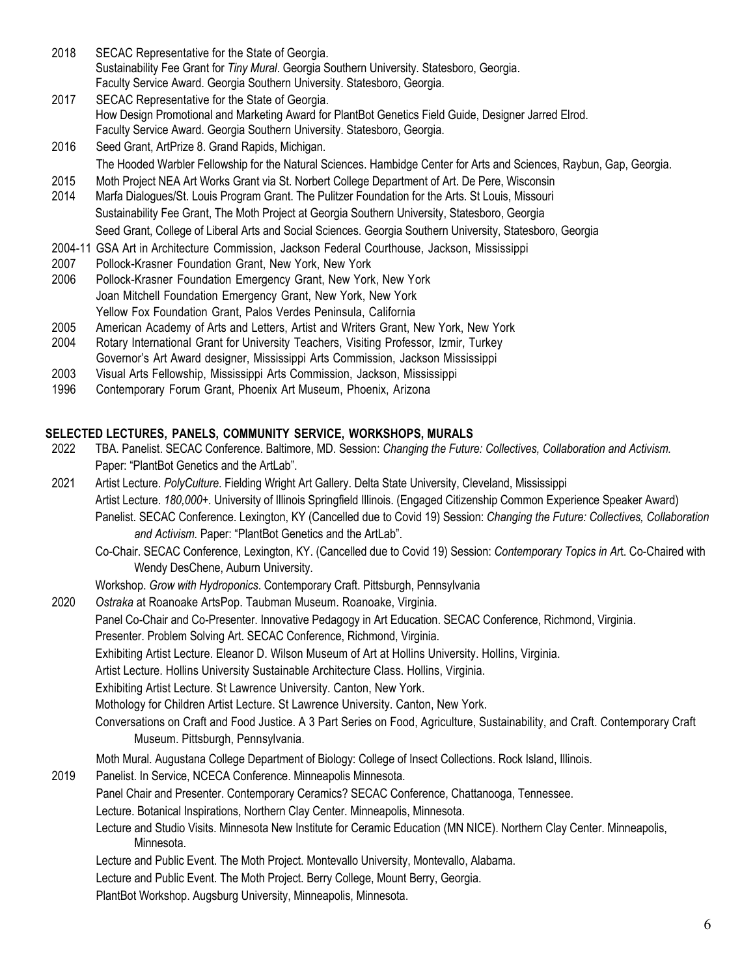- 2018 SECAC Representative for the State of Georgia. Sustainability Fee Grant for *Tiny Mural*. Georgia Southern University. Statesboro, Georgia. Faculty Service Award. Georgia Southern University. Statesboro, Georgia.
- 2017 SECAC Representative for the State of Georgia. How Design Promotional and Marketing Award for PlantBot Genetics Field Guide, Designer Jarred Elrod. Faculty Service Award. Georgia Southern University. Statesboro, Georgia.
- 2016 Seed Grant, ArtPrize 8. Grand Rapids, Michigan. The Hooded Warbler Fellowship for the Natural Sciences. Hambidge Center for Arts and Sciences, Raybun, Gap, Georgia.
- 2015 Moth Project NEA Art Works Grant via St. Norbert College Department of Art. De Pere, Wisconsin
- 2014 Marfa Dialogues/St. Louis Program Grant. The Pulitzer Foundation for the Arts. St Louis, Missouri Sustainability Fee Grant, The Moth Project at Georgia Southern University, Statesboro, Georgia Seed Grant, College of Liberal Arts and Social Sciences. Georgia Southern University, Statesboro, Georgia
- 2004-11 GSA Art in Architecture Commission, Jackson Federal Courthouse, Jackson, Mississippi
- 2007 Pollock-Krasner Foundation Grant, New York, New York
- 2006 Pollock-Krasner Foundation Emergency Grant, New York, New York Joan Mitchell Foundation Emergency Grant, New York, New York Yellow Fox Foundation Grant, Palos Verdes Peninsula, California
- 2005 American Academy of Arts and Letters, Artist and Writers Grant, New York, New York
- 2004 Rotary International Grant for University Teachers, Visiting Professor, Izmir, Turkey Governor's Art Award designer, Mississippi Arts Commission, Jackson Mississippi
- 2003 Visual Arts Fellowship, Mississippi Arts Commission, Jackson, Mississippi
- 1996 Contemporary Forum Grant, Phoenix Art Museum, Phoenix, Arizona

# **SELECTED LECTURES, PANELS, COMMUNITY SERVICE, WORKSHOPS, MURALS**

- 2022 TBA. Panelist. SECAC Conference. Baltimore, MD. Session: *Changing the Future: Collectives, Collaboration and Activism.* Paper: "PlantBot Genetics and the ArtLab".
- 2021 Artist Lecture. *PolyCulture*. Fielding Wright Art Gallery. Delta State University, Cleveland, Mississippi Artist Lecture. *180,000+.* University of Illinois Springfield Illinois. (Engaged Citizenship Common Experience Speaker Award) Panelist. SECAC Conference. Lexington, KY (Cancelled due to Covid 19) Session: *Changing the Future: Collectives, Collaboration and Activism.* Paper: "PlantBot Genetics and the ArtLab".
	- Co-Chair. SECAC Conference, Lexington, KY. (Cancelled due to Covid 19) Session: *Contemporary Topics in Ar*t. Co-Chaired with Wendy DesChene, Auburn University.
	- Workshop. *Grow with Hydroponics*. Contemporary Craft. Pittsburgh, Pennsylvania
- 2020 *Ostraka* at Roanoake ArtsPop. Taubman Museum. Roanoake, Virginia.
	- Panel Co-Chair and Co-Presenter. Innovative Pedagogy in Art Education. SECAC Conference, Richmond, Virginia.
	- Presenter. Problem Solving Art. SECAC Conference, Richmond, Virginia.
	- Exhibiting Artist Lecture. Eleanor D. Wilson Museum of Art at Hollins University. Hollins, Virginia.
	- Artist Lecture. Hollins University Sustainable Architecture Class. Hollins, Virginia.
	- Exhibiting Artist Lecture. St Lawrence University. Canton, New York.
	- Mothology for Children Artist Lecture. St Lawrence University. Canton, New York.
	- Conversations on Craft and Food Justice. A 3 Part Series on Food, Agriculture, Sustainability, and Craft. Contemporary Craft Museum. Pittsburgh, Pennsylvania.
	- Moth Mural. Augustana College Department of Biology: College of Insect Collections. Rock Island, Illinois.
- 2019 Panelist. In Service, NCECA Conference. Minneapolis Minnesota.
	- Panel Chair and Presenter. Contemporary Ceramics? SECAC Conference, Chattanooga, Tennessee.
	- Lecture. Botanical Inspirations, Northern Clay Center. Minneapolis, Minnesota.
		- Lecture and Studio Visits. Minnesota New Institute for Ceramic Education (MN NICE). Northern Clay Center. Minneapolis, Minnesota.
	- Lecture and Public Event. The Moth Project. Montevallo University, Montevallo, Alabama.
	- Lecture and Public Event. The Moth Project. Berry College, Mount Berry, Georgia.
	- PlantBot Workshop. Augsburg University, Minneapolis, Minnesota.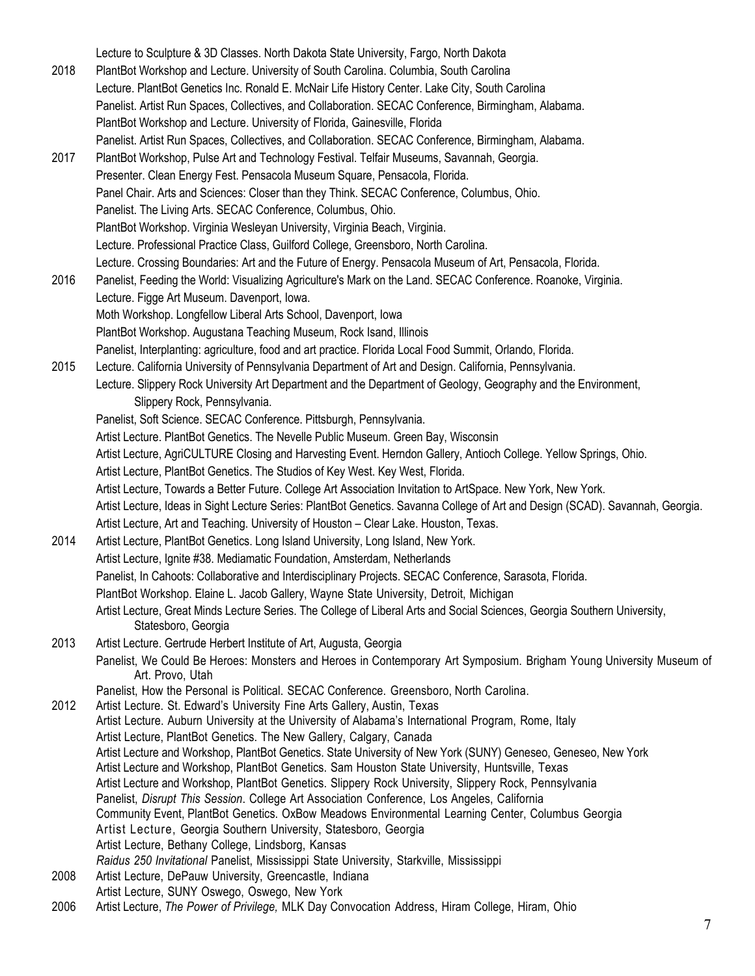Lecture to Sculpture & 3D Classes. North Dakota State University, Fargo, North Dakota 2018 PlantBot Workshop and Lecture. University of South Carolina. Columbia, South Carolina Lecture. PlantBot Genetics Inc. Ronald E. McNair Life History Center. Lake City, South Carolina Panelist. Artist Run Spaces, Collectives, and Collaboration. SECAC Conference, Birmingham, Alabama. PlantBot Workshop and Lecture. University of Florida, Gainesville, Florida Panelist. Artist Run Spaces, Collectives, and Collaboration. SECAC Conference, Birmingham, Alabama. 2017 PlantBot Workshop, Pulse Art and Technology Festival. Telfair Museums, Savannah, Georgia. Presenter. Clean Energy Fest. Pensacola Museum Square, Pensacola, Florida. Panel Chair. Arts and Sciences: Closer than they Think. SECAC Conference, Columbus, Ohio. Panelist. The Living Arts. SECAC Conference, Columbus, Ohio. PlantBot Workshop. Virginia Wesleyan University, Virginia Beach, Virginia. Lecture. Professional Practice Class, Guilford College, Greensboro, North Carolina. Lecture. Crossing Boundaries: Art and the Future of Energy. Pensacola Museum of Art, Pensacola, Florida. 2016 Panelist, Feeding the World: Visualizing Agriculture's Mark on the Land. SECAC Conference. Roanoke, Virginia. Lecture. Figge Art Museum. Davenport, Iowa. Moth Workshop. Longfellow Liberal Arts School, Davenport, Iowa PlantBot Workshop. Augustana Teaching Museum, Rock Isand, Illinois Panelist, Interplanting: agriculture, food and art practice. Florida Local Food Summit, Orlando, Florida. 2015 Lecture. California University of Pennsylvania Department of Art and Design. California, Pennsylvania. Lecture. Slippery Rock University Art Department and the Department of Geology, Geography and the Environment, Slippery Rock, Pennsylvania. Panelist, Soft Science. SECAC Conference. Pittsburgh, Pennsylvania. Artist Lecture. PlantBot Genetics. The Nevelle Public Museum. Green Bay, Wisconsin Artist Lecture, AgriCULTURE Closing and Harvesting Event. Herndon Gallery, Antioch College. Yellow Springs, Ohio. Artist Lecture, PlantBot Genetics. The Studios of Key West. Key West, Florida. Artist Lecture, Towards a Better Future. College Art Association Invitation to ArtSpace. New York, New York. Artist Lecture, Ideas in Sight Lecture Series: PlantBot Genetics. Savanna College of Art and Design (SCAD). Savannah, Georgia. Artist Lecture, Art and Teaching. University of Houston – Clear Lake. Houston, Texas. 2014 Artist Lecture, PlantBot Genetics. Long Island University, Long Island, New York. Artist Lecture, Ignite #38. Mediamatic Foundation, Amsterdam, Netherlands Panelist, In Cahoots: Collaborative and Interdisciplinary Projects. SECAC Conference, Sarasota, Florida. PlantBot Workshop. Elaine L. Jacob Gallery, Wayne State University, Detroit, Michigan Artist Lecture, Great Minds Lecture Series. The College of Liberal Arts and Social Sciences, Georgia Southern University, Statesboro, Georgia 2013 Artist Lecture. Gertrude Herbert Institute of Art, Augusta, Georgia Panelist, We Could Be Heroes: Monsters and Heroes in Contemporary Art Symposium. Brigham Young University Museum of Art. Provo, Utah Panelist, How the Personal is Political. SECAC Conference. Greensboro, North Carolina. 2012 Artist Lecture. St. Edward's University Fine Arts Gallery, Austin, Texas Artist Lecture. Auburn University at the University of Alabama's International Program, Rome, Italy Artist Lecture, PlantBot Genetics. The New Gallery, Calgary, Canada Artist Lecture and Workshop, PlantBot Genetics. State University of New York (SUNY) Geneseo, Geneseo, New York Artist Lecture and Workshop, PlantBot Genetics. Sam Houston State University, Huntsville, Texas Artist Lecture and Workshop, PlantBot Genetics. Slippery Rock University, Slippery Rock, Pennsylvania Panelist, *Disrupt This Session*. College Art Association Conference, Los Angeles, California Community Event, PlantBot Genetics. OxBow Meadows Environmental Learning Center, Columbus Georgia Artist Lecture, Georgia Southern University, Statesboro, Georgia Artist Lecture, Bethany College, Lindsborg, Kansas *Raidus 250 Invitational* Panelist, Mississippi State University, Starkville, Mississippi 2008 Artist Lecture, DePauw University, Greencastle, Indiana Artist Lecture, SUNY Oswego, Oswego, New York 2006 Artist Lecture, *The Power of Privilege,* MLK Day Convocation Address, Hiram College, Hiram, Ohio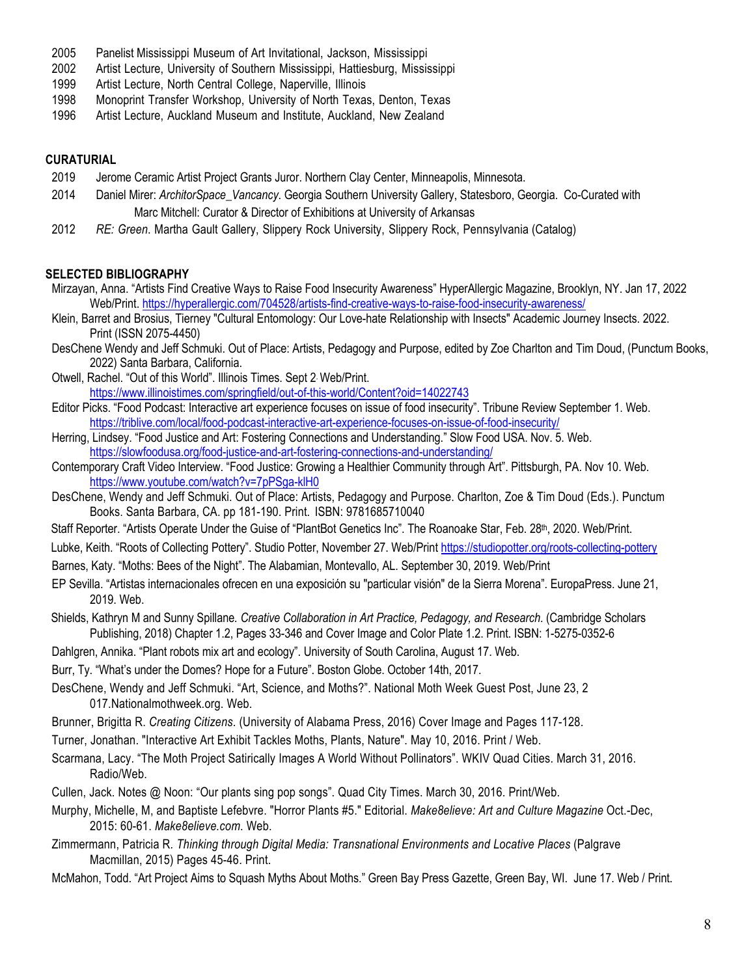- 2005 Panelist Mississippi Museum of Art Invitational, Jackson, Mississippi
- 2002 Artist Lecture, University of Southern Mississippi, Hattiesburg, Mississippi
- 1999 Artist Lecture, North Central College, Naperville, Illinois
- 1998 Monoprint Transfer Workshop, University of North Texas, Denton, Texas
- 1996 Artist Lecture, Auckland Museum and Institute, Auckland, New Zealand

#### **CURATURIAL**

- 2019 Jerome Ceramic Artist Project Grants Juror. Northern Clay Center, Minneapolis, Minnesota.
- 2014 Daniel Mirer: *ArchitorSpace\_Vancancy*. Georgia Southern University Gallery, Statesboro, Georgia. Co-Curated with Marc Mitchell: Curator & Director of Exhibitions at University of Arkansas
- 2012 *RE: Green*. Martha Gault Gallery, Slippery Rock University, Slippery Rock, Pennsylvania (Catalog)

#### **SELECTED BIBLIOGRAPHY**

- Mirzayan, Anna. "Artists Find Creative Ways to Raise Food Insecurity Awareness" HyperAllergic Magazine, Brooklyn, NY. Jan 17, 2022 Web/Print. https://hyperallergic.com/704528/artists-find-creative-ways-to-raise-food-insecurity-awareness/
- Klein, Barret and Brosius, Tierney "Cultural Entomology: Our Love-hate Relationship with Insects" Academic Journey Insects. 2022. Print (ISSN 2075-4450)
- DesChene Wendy and Jeff Schmuki. Out of Place: Artists, Pedagogy and Purpose, edited by Zoe Charlton and Tim Doud, (Punctum Books, 2022) Santa Barbara, California.
- Otwell, Rachel. "Out of this World". Illinois Times. Sept 2. Web/Print. https://www.illinoistimes.com/springfield/out-of-this-world/Content?oid=14022743
- Editor Picks. "Food Podcast: Interactive art experience focuses on issue of food insecurity". Tribune Review September 1. Web. https://triblive.com/local/food-podcast-interactive-art-experience-focuses-on-issue-of-food-insecurity/
- Herring, Lindsey. "Food Justice and Art: Fostering Connections and Understanding." Slow Food USA. Nov. 5. Web. https://slowfoodusa.org/food-justice-and-art-fostering-connections-and-understanding/
- Contemporary Craft Video Interview. "Food Justice: Growing a Healthier Community through Art". Pittsburgh, PA. Nov 10. Web. https://www.youtube.com/watch?v=7pPSga-klH0
- DesChene, Wendy and Jeff Schmuki. Out of Place: Artists, Pedagogy and Purpose. Charlton, Zoe & Tim Doud (Eds.). Punctum Books. Santa Barbara, CA. pp 181-190. Print. ISBN: 9781685710040
- Staff Reporter. "Artists Operate Under the Guise of "PlantBot Genetics Inc". The Roanoake Star, Feb. 28th, 2020. Web/Print.
- Lubke, Keith. "Roots of Collecting Pottery". Studio Potter, November 27. Web/Print https://studiopotter.org/roots-collecting-pottery
- Barnes, Katy. "Moths: Bees of the Night". The Alabamian, Montevallo, AL. September 30, 2019. Web/Print
- EP Sevilla. "Artistas internacionales ofrecen en una exposición su "particular visión" de la Sierra Morena". EuropaPress. June 21, 2019. Web.
- Shields, Kathryn M and Sunny Spillane*. Creative Collaboration in Art Practice, Pedagogy, and Research*. (Cambridge Scholars Publishing, 2018) Chapter 1.2, Pages 33-346 and Cover Image and Color Plate 1.2. Print. ISBN: 1-5275-0352-6
- Dahlgren, Annika. "Plant robots mix art and ecology". University of South Carolina, August 17. Web.
- Burr, Ty. "What's under the Domes? Hope for a Future". Boston Globe. October 14th, 2017.
- DesChene, Wendy and Jeff Schmuki. "Art, Science, and Moths?". National Moth Week Guest Post, June 23, 2 017.Nationalmothweek.org. Web.
- Brunner, Brigitta R. *Creating Citizens*. (University of Alabama Press, 2016) Cover Image and Pages 117-128.
- Turner, Jonathan. "Interactive Art Exhibit Tackles Moths, Plants, Nature". May 10, 2016. Print / Web.
- Scarmana, Lacy. "The Moth Project Satirically Images A World Without Pollinators". WKIV Quad Cities. March 31, 2016. Radio/Web.
- Cullen, Jack. Notes @ Noon: "Our plants sing pop songs". Quad City Times. March 30, 2016. Print/Web.
- Murphy, Michelle, M, and Baptiste Lefebvre. "Horror Plants #5." Editorial. *Make8elieve: Art and Culture Magazine* Oct.-Dec, 2015: 60-61. *Make8elieve.com*. Web.
- Zimmermann, Patricia R*. Thinking through Digital Media: Transnational Environments and Locative Places* (Palgrave Macmillan, 2015) Pages 45-46. Print.
- McMahon, Todd. "Art Project Aims to Squash Myths About Moths." Green Bay Press Gazette, Green Bay, WI. June 17. Web / Print.